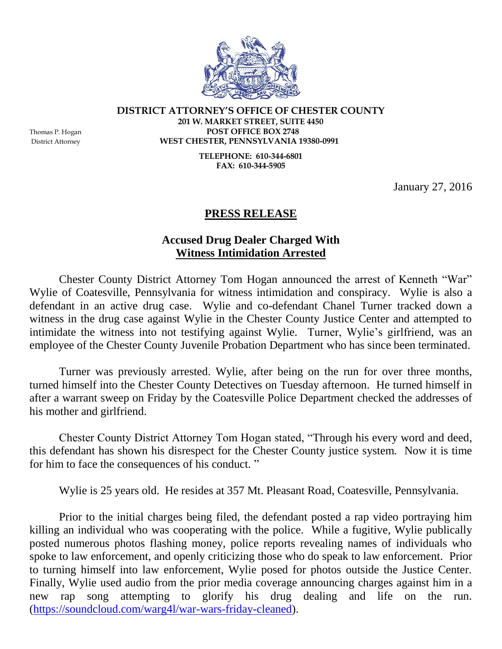

**DISTRICT ATTORNEY'S OFFICE OF CHESTER COUNTY 201 W. MARKET STREET, SUITE 4450** Thomas P. Hogan **POST OFFICE BOX 2748** District Attorney **WEST CHESTER, PENNSYLVANIA 19380-0991**

> **TELEPHONE: 610-344-6801 FAX: 610-344-5905**

> > January 27, 2016

## **PRESS RELEASE**

## **Accused Drug Dealer Charged With Witness Intimidation Arrested**

Chester County District Attorney Tom Hogan announced the arrest of Kenneth "War" Wylie of Coatesville, Pennsylvania for witness intimidation and conspiracy. Wylie is also a defendant in an active drug case. Wylie and co-defendant Chanel Turner tracked down a witness in the drug case against Wylie in the Chester County Justice Center and attempted to intimidate the witness into not testifying against Wylie. Turner, Wylie's girlfriend, was an employee of the Chester County Juvenile Probation Department who has since been terminated.

Turner was previously arrested. Wylie, after being on the run for over three months, turned himself into the Chester County Detectives on Tuesday afternoon. He turned himself in after a warrant sweep on Friday by the Coatesville Police Department checked the addresses of his mother and girlfriend.

Chester County District Attorney Tom Hogan stated, "Through his every word and deed, this defendant has shown his disrespect for the Chester County justice system. Now it is time for him to face the consequences of his conduct. "

Wylie is 25 years old. He resides at 357 Mt. Pleasant Road, Coatesville, Pennsylvania.

Prior to the initial charges being filed, the defendant posted a rap video portraying him killing an individual who was cooperating with the police. While a fugitive, Wylie publically posted numerous photos flashing money, police reports revealing names of individuals who spoke to law enforcement, and openly criticizing those who do speak to law enforcement. Prior to turning himself into law enforcement, Wylie posed for photos outside the Justice Center. Finally, Wylie used audio from the prior media coverage announcing charges against him in a new rap song attempting to glorify his drug dealing and life on the run. [\(https://soundcloud.com/warg4l/war-wars-friday-cleaned\)](https://soundcloud.com/warg4l/war-wars-friday-cleaned).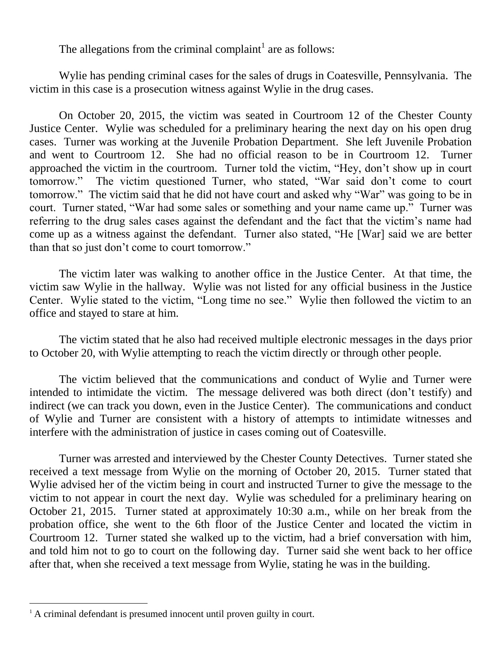The allegations from the criminal complaint<sup>1</sup> are as follows:

Wylie has pending criminal cases for the sales of drugs in Coatesville, Pennsylvania. The victim in this case is a prosecution witness against Wylie in the drug cases.

On October 20, 2015, the victim was seated in Courtroom 12 of the Chester County Justice Center. Wylie was scheduled for a preliminary hearing the next day on his open drug cases. Turner was working at the Juvenile Probation Department. She left Juvenile Probation and went to Courtroom 12. She had no official reason to be in Courtroom 12. Turner approached the victim in the courtroom. Turner told the victim, "Hey, don't show up in court tomorrow." The victim questioned Turner, who stated, "War said don't come to court tomorrow." The victim said that he did not have court and asked why "War" was going to be in court. Turner stated, "War had some sales or something and your name came up." Turner was referring to the drug sales cases against the defendant and the fact that the victim's name had come up as a witness against the defendant. Turner also stated, "He [War] said we are better than that so just don't come to court tomorrow."

The victim later was walking to another office in the Justice Center. At that time, the victim saw Wylie in the hallway. Wylie was not listed for any official business in the Justice Center. Wylie stated to the victim, "Long time no see." Wylie then followed the victim to an office and stayed to stare at him.

The victim stated that he also had received multiple electronic messages in the days prior to October 20, with Wylie attempting to reach the victim directly or through other people.

The victim believed that the communications and conduct of Wylie and Turner were intended to intimidate the victim. The message delivered was both direct (don't testify) and indirect (we can track you down, even in the Justice Center). The communications and conduct of Wylie and Turner are consistent with a history of attempts to intimidate witnesses and interfere with the administration of justice in cases coming out of Coatesville.

Turner was arrested and interviewed by the Chester County Detectives. Turner stated she received a text message from Wylie on the morning of October 20, 2015. Turner stated that Wylie advised her of the victim being in court and instructed Turner to give the message to the victim to not appear in court the next day. Wylie was scheduled for a preliminary hearing on October 21, 2015. Turner stated at approximately 10:30 a.m., while on her break from the probation office, she went to the 6th floor of the Justice Center and located the victim in Courtroom 12. Turner stated she walked up to the victim, had a brief conversation with him, and told him not to go to court on the following day. Turner said she went back to her office after that, when she received a text message from Wylie, stating he was in the building.

 $\overline{a}$ 

 $<sup>1</sup>$  A criminal defendant is presumed innocent until proven guilty in court.</sup>